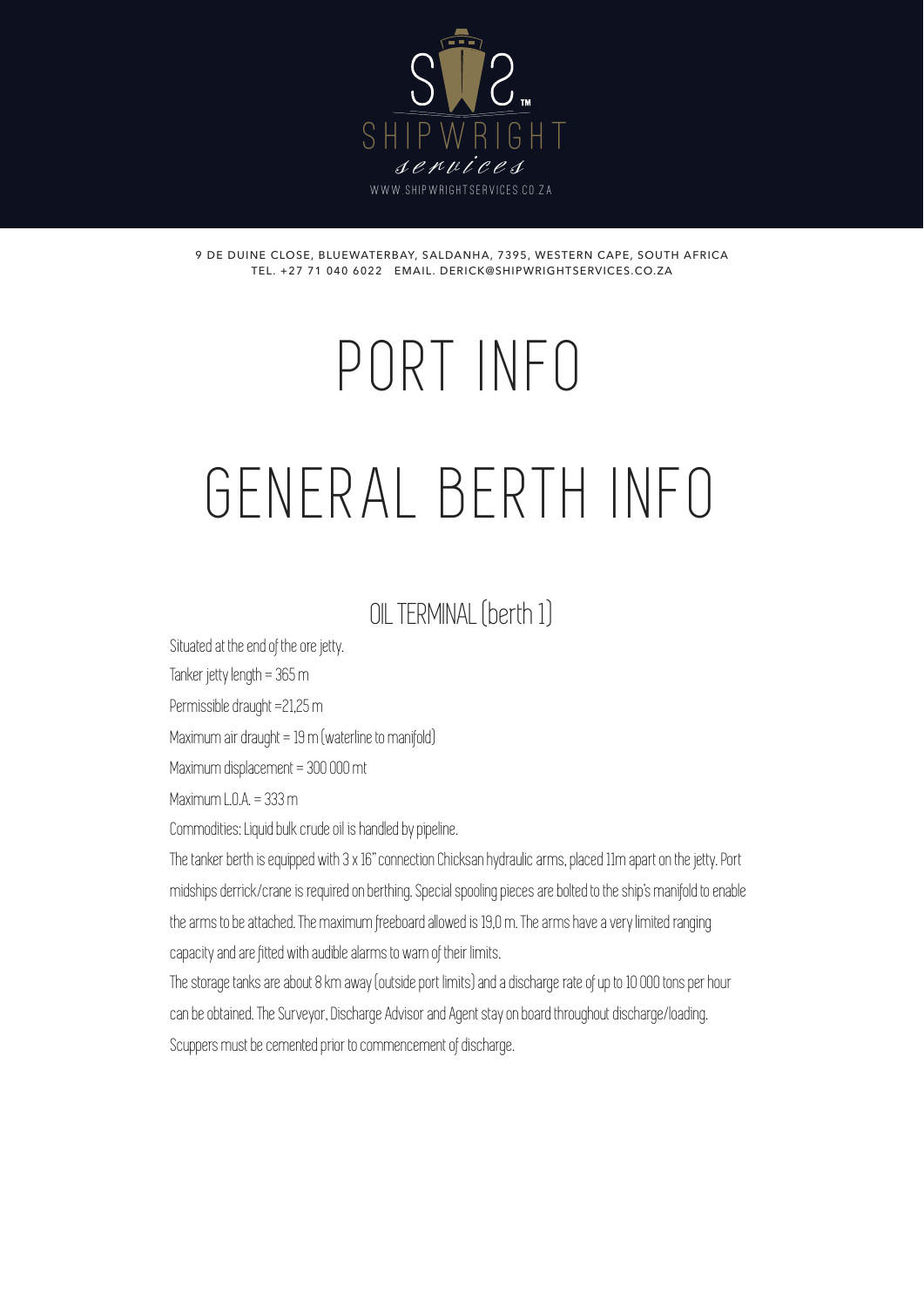

9 DE DUINE CLOSE, BLUEWATERBAY, SALDANHA, 7395, WESTERN CAPE, SOUTH AFRICA TEL. +27 71 040 6022 EMAIL. DERICK@SHIPWRIGHTSERVICES.CO.ZA

# PORT INFO

# GENERAL BERTH INFO

## OIL TERMINAL (berth 1)

Situated at the end of the ore jetty.

Tanker jetty length = 365 m

Permissible draught =21,25 m

Maximum air draught =  $19 \text{ m}$  (waterline to manifold)

Maximum displacement = 300 000 mt

Maximum  $\ln A = 333$  m

Commodities: Liquid bulk crude oil is handled by pipeline.

The tanker berth is equipped with 3 x 16" connection Chicksan hydraulic arms, placed 11m apart on the jetty. Port midships derrick/crane is required on berthing. Special spooling pieces are bolted to the ship's manifold to enable the arms to be attached. The maximum freeboard allowed is 19,0 m. The arms have a very limited ranging capacity and are fitted with audible alarms to warn of their limits.

The storage tanks are about 8 km away (outside port limits) and a discharge rate of up to 10 000 tons per hour can be obtained. The Surveyor, Discharge Advisor and Agent stay on board throughout discharge/loading. Scuppers must be cemented prior to commencement of discharge.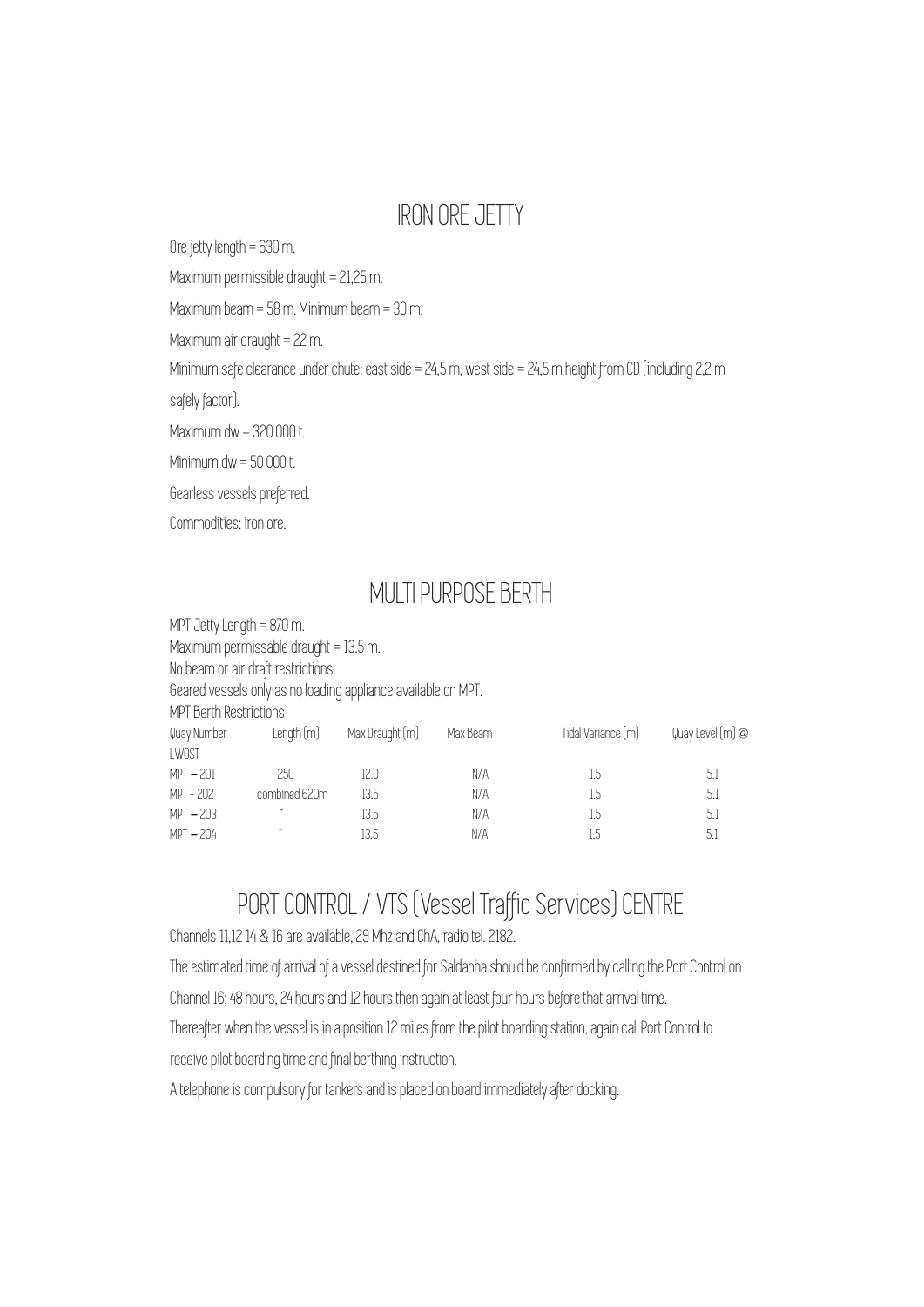#### IRON ORE JETTY

Ore jetty length = 630 m.

Maximum permissible draught = 21,25 m.

Maximum beam = 58 m. Minimum beam = 30 m.

Maximum air draught = 22 m.

Minimum safe clearance under chute: east side = 24,5 m, west side = 24,5 m height from CD (including 2,2 m

safely factor).

Maximum dw = 320 000 t.

Minimum dw = 50 000 t.

Gearless vessels preferred.

Commodities: iron ore.

#### MULTI PURPOSE BERTH

MPT Jetty Length = 870 m. Maximum permissable draught = 13.5 m. No beam or air draft restrictions Geared vessels only as no loading appliance available on MPT. MPT Berth Restrictions Quay Number Length (m) Max Draught (m) Max Beam Tidal Variance (m) Quay Level (m) @ LWOST MPT – 201 250 12.0 N/A 1.5 5.1 MPT - 202 combined 620m 13.5 N/A 1.5 5.1 MPT – 203 " 13.5 N/A 1.5 5.1 MPT – 204 " 13.5 N/A 1.5 5.1

## PORT CONTROL / VTS (Vessel Traffic Services) CENTRE

Channels 11,12 14 & 16 are available, 29 Mhz and ChA, radio tel. 2182.

The estimated time of arrival of a vessel destined for Saldanha should be confirmed by calling the Port Control on

Channel 16; 48 hours, 24 hours and 12 hours then again at least four hours before that arrival time.

Thereafter when the vessel is in a position 12 miles from the pilot boarding station, again call Port Control to

receive pilot boarding time and final berthing instruction.

A telephone is compulsory for tankers and is placed on board immediately after docking.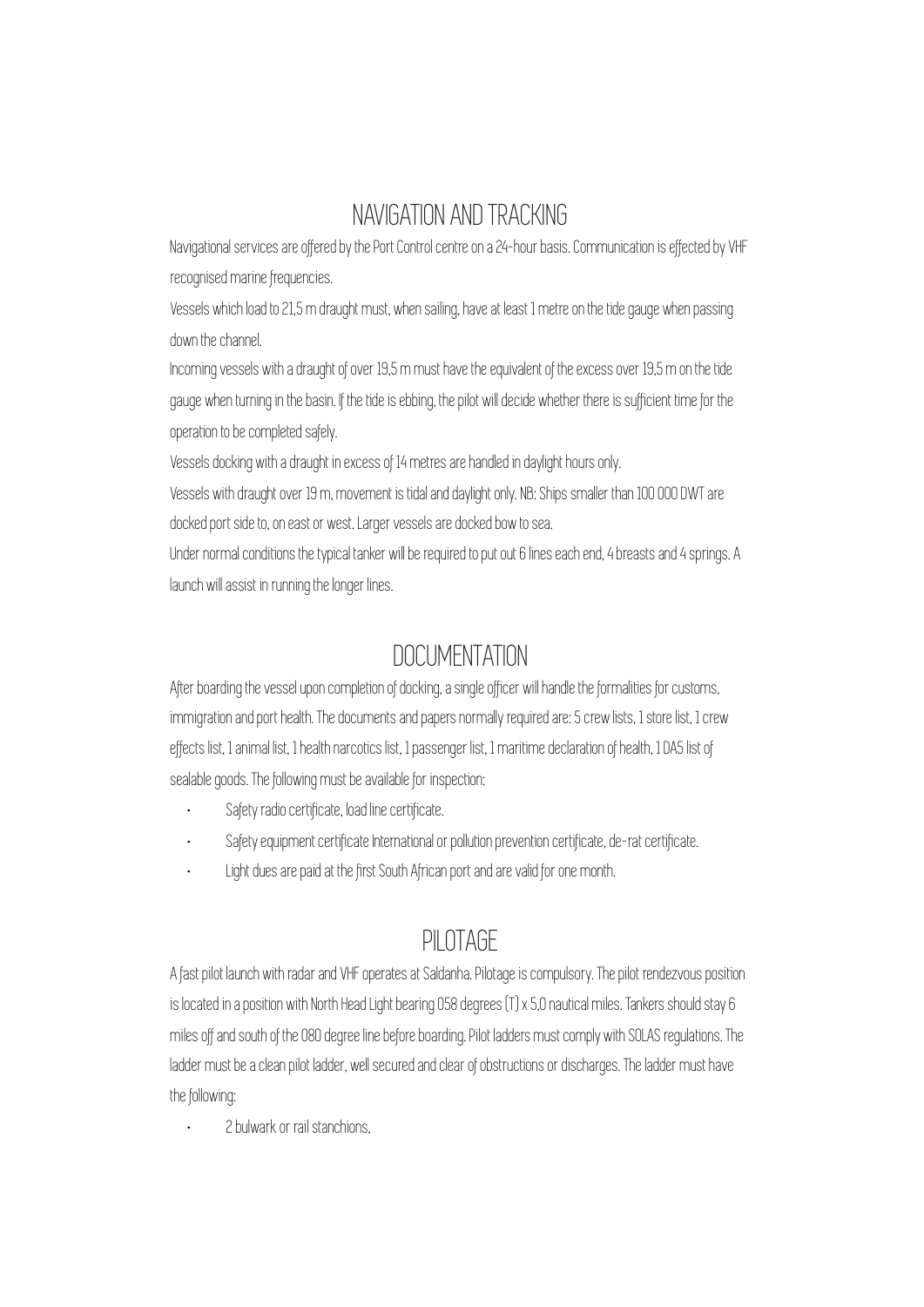#### NAVIGATION AND TRACKING

Navigational services are offered by the Port Control centre on a 24-hour basis. Communication is effected by VHF recognised marine frequencies.

Vessels which load to 21,5 m draught must, when sailing, have at least 1 metre on the tide gauge when passing down the channel.

Incoming vessels with a draught of over 19,5 m must have the equivalent of the excess over 19,5 m on the tide gauge when turning in the basin. If the tide is ebbing, the pilot will decide whether there is sufficient time for the operation to be completed safely.

Vessels docking with a draught in excess of 14 metres are handled in daylight hours only.

Vessels with draught over 19 m, movement is tidal and daylight only. NB: Ships smaller than 100 000 DWT are docked port side to, on east or west. Larger vessels are docked bow to sea.

Under normal conditions the typical tanker will be required to put out 6 lines each end, 4 breasts and 4 springs. A launch will assist in running the longer lines.

#### DOCUMENTATION

After boarding the vessel upon completion of docking, a single officer will handle the formalities for customs, immigration and port health. The documents and papers normally required are: 5 crew lists, 1 store list, 1 crew effects list, 1 animal list, 1 health narcotics list, 1 passenger list, 1 maritime declaration of health, 1 DA5 list of sealable goods. The following must be available for inspection:

- Safety radio certificate, load line certificate.
- Safety equipment certificate International or pollution prevention certificate, de-rat certificate.
- Light dues are paid at the first South African port and are valid for one month.

#### PILOTAGE

A fast pilot launch with radar and VHF operates at Saldanha. Pilotage is compulsory. The pilot rendezvous position is located in a position with North Head Light bearing 058 degrees (T) x 5,0 nautical miles. Tankers should stay 6 miles off and south of the 080 degree line before boarding. Pilot ladders must comply with SOLAS regulations. The ladder must be a clean pilot ladder, well secured and clear of obstructions or discharges. The ladder must have the following:

• 2 bulwark or rail stanchions,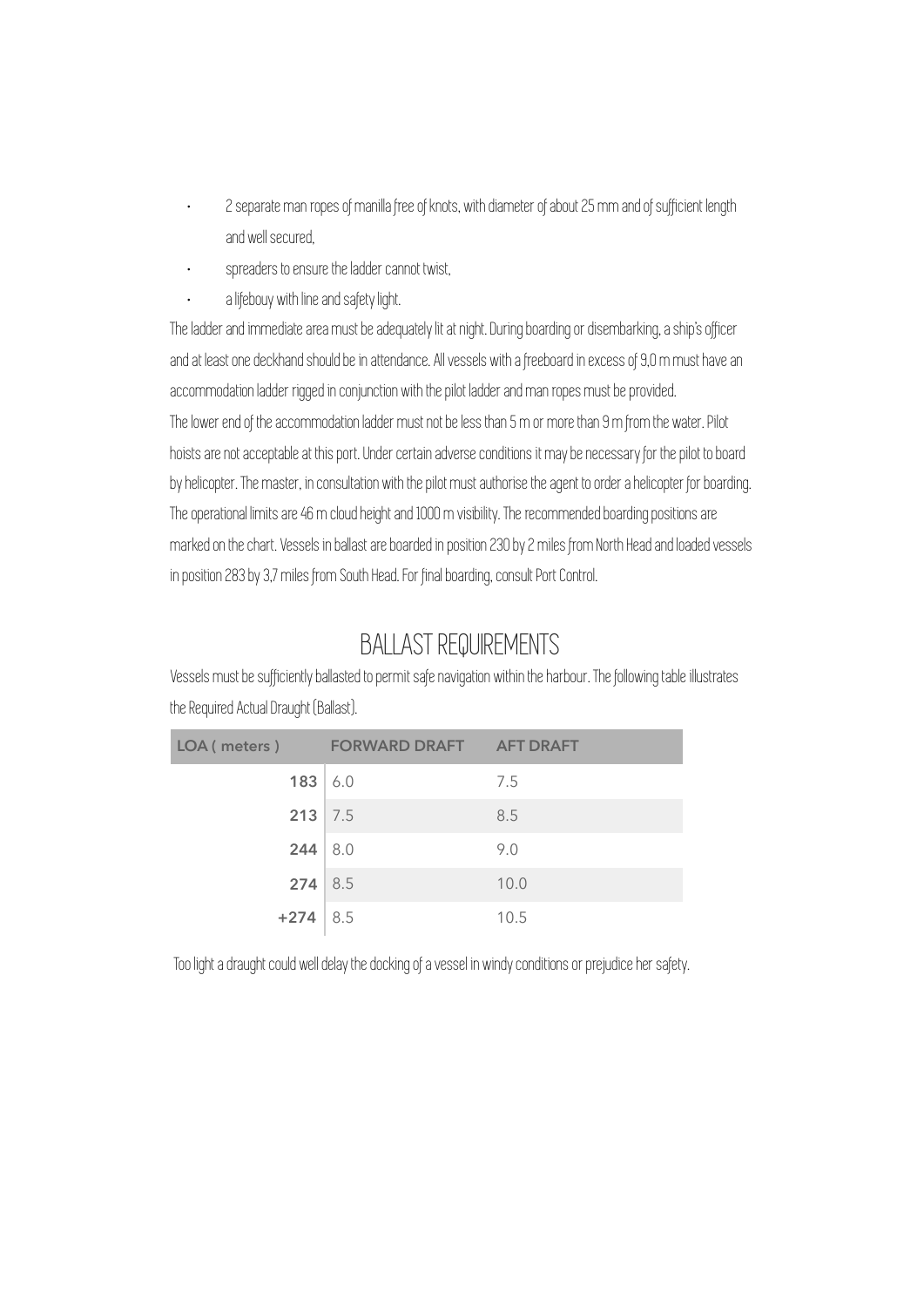- 2 separate man ropes of manilla free of knots, with diameter of about 25 mm and of sufficient length and well secured,
- spreaders to ensure the ladder cannot twist,
- a lifebouy with line and safety light.

The ladder and immediate area must be adequately lit at night. During boarding or disembarking, a ship's officer and at least one deckhand should be in attendance. All vessels with a freeboard in excess of 9,0 m must have an accommodation ladder rigged in conjunction with the pilot ladder and man ropes must be provided. The lower end of the accommodation ladder must not be less than 5 m or more than 9 m from the water. Pilot hoists are not acceptable at this port. Under certain adverse conditions it may be necessary for the pilot to board by helicopter. The master, in consultation with the pilot must authorise the agent to order a helicopter for boarding. The operational limits are 46 m cloud height and 1000 m visibility. The recommended boarding positions are marked on the chart. Vessels in ballast are boarded in position 230 by 2 miles from North Head and loaded vessels in position 283 by 3,7 miles from South Head. For final boarding, consult Port Control.

### BALLAST REQUIREMENTS

Vessels must be sufficiently ballasted to permit safe navigation within the harbour. The following table illustrates the Required Actual Draught (Ballast).

|            | LOA (meters) FORWARD DRAFT AFT DRAFT |      |
|------------|--------------------------------------|------|
|            | 183   6.0                            | 7.5  |
|            | $213$ 7.5                            | 8.5  |
|            | $244 \mid 8.0$                       | 9.0  |
|            | $274 \mid 8.5$                       | 10.0 |
| $+274$ 8.5 |                                      | 10.5 |

Too light a draught could well delay the docking of a vessel in windy conditions or prejudice her safety.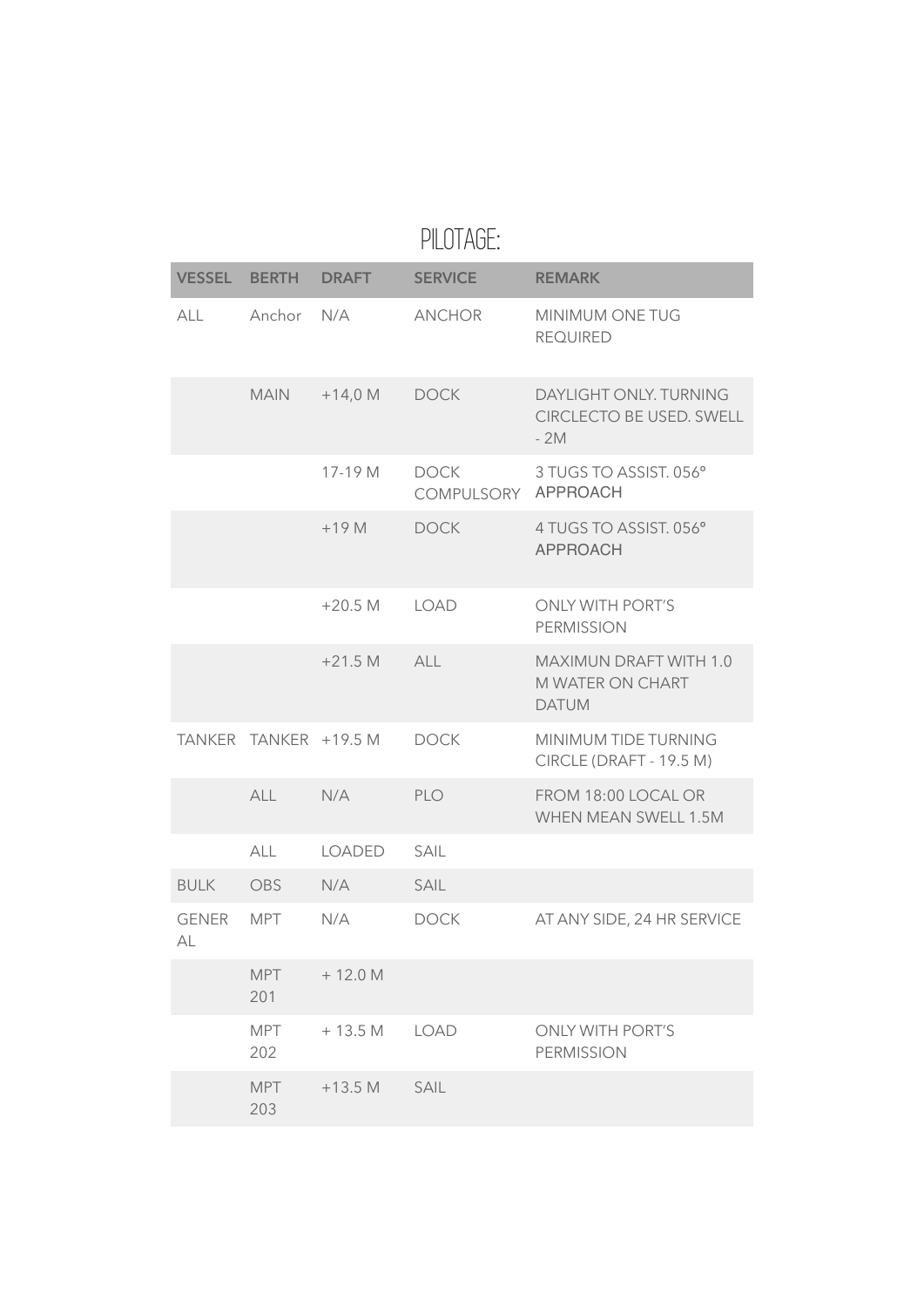|             | <b>VESSEL BERTH DRAFT</b> |               | <b>SERVICE</b>                     | <b>REMARK</b>                                               |
|-------------|---------------------------|---------------|------------------------------------|-------------------------------------------------------------|
| <b>ALL</b>  | Anchor N/A                |               | <b>ANCHOR</b>                      | MINIMUM ONE TUG<br><b>REQUIRED</b>                          |
|             | <b>MAIN</b>               | $+14,0 M$     | <b>DOCK</b>                        | DAYLIGHT ONLY. TURNING<br>CIRCLECTO BE USED. SWELL<br>$-2M$ |
|             |                           | 17-19 M       | <b>DOCK</b><br>COMPULSORY APPROACH | 3 TUGS TO ASSIST. 056°                                      |
|             |                           | $+19M$        | <b>DOCK</b>                        | 4 TUGS TO ASSIST. 056°<br><b>APPROACH</b>                   |
|             |                           | $+20.5 M$     | LOAD                               | <b>ONLY WITH PORT'S</b><br><b>PERMISSION</b>                |
|             |                           | $+21.5 M$     | ALL                                | MAXIMUN DRAFT WITH 1.0<br>M WATER ON CHART<br><b>DATUM</b>  |
|             | TANKER TANKER +19.5 M     |               | <b>DOCK</b>                        | MINIMUM TIDE TURNING<br>CIRCLE (DRAFT - 19.5 M)             |
|             | <b>ALL</b>                | N/A           | <b>PLO</b>                         | FROM 18:00 LOCAL OR<br>WHEN MEAN SWELL 1.5M                 |
|             | ALL                       | <b>LOADED</b> | <b>SAIL</b>                        |                                                             |
| <b>BULK</b> | OBS                       | N/A           | SAIL                               |                                                             |
| GENER<br>АL | MPT                       | N/A           | <b>DOCK</b>                        | AT ANY SIDE, 24 HR SERVICE                                  |
|             | <b>MPT</b><br>201         | $+12.0 M$     |                                    |                                                             |
|             | <b>MPT</b><br>202         | $+13.5 M$     | <b>LOAD</b>                        | <b>ONLY WITH PORT'S</b><br><b>PERMISSION</b>                |
|             | <b>MPT</b><br>203         | $+13.5 M$     | SAIL                               |                                                             |